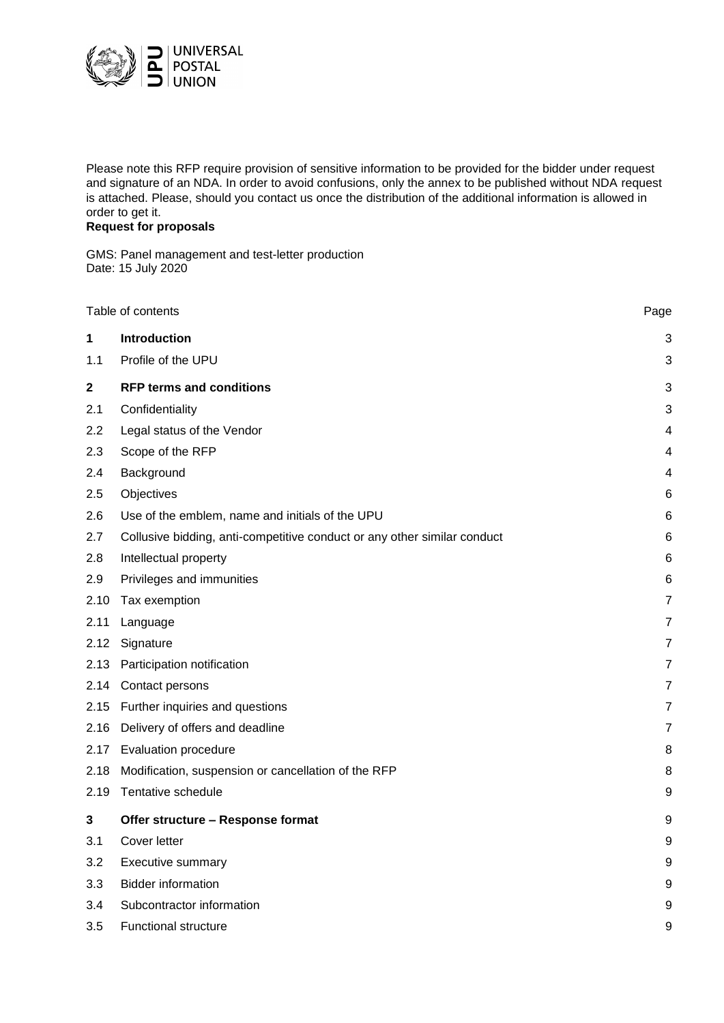

Please note this RFP require provision of sensitive information to be provided for the bidder under request and signature of an NDA. In order to avoid confusions, only the annex to be published without NDA request is attached. Please, should you contact us once the distribution of the additional information is allowed in order to get it.

# **Request for proposals**

GMS: Panel management and test-letter production Date: 15 July 2020

|              | Table of contents                                                        | Page           |
|--------------|--------------------------------------------------------------------------|----------------|
| 1            | Introduction                                                             | 3              |
| 1.1          | Profile of the UPU                                                       | 3              |
| $\mathbf{2}$ | <b>RFP terms and conditions</b>                                          | 3              |
| 2.1          | Confidentiality                                                          | 3              |
| 2.2          | Legal status of the Vendor                                               | 4              |
| 2.3          | Scope of the RFP                                                         | 4              |
| 2.4          | Background                                                               | 4              |
| 2.5          | Objectives                                                               | 6              |
| 2.6          | Use of the emblem, name and initials of the UPU                          | 6              |
| 2.7          | Collusive bidding, anti-competitive conduct or any other similar conduct | 6              |
| 2.8          | Intellectual property                                                    | 6              |
| 2.9          | Privileges and immunities                                                | 6              |
| 2.10         | Tax exemption                                                            | 7              |
| 2.11         | Language                                                                 | $\overline{7}$ |
| 2.12         | Signature                                                                | 7              |
| 2.13         | Participation notification                                               | 7              |
|              | 2.14 Contact persons                                                     | 7              |
| 2.15         | Further inquiries and questions                                          | 7              |
| 2.16         | Delivery of offers and deadline                                          | $\overline{7}$ |
|              | 2.17 Evaluation procedure                                                | 8              |
| 2.18         | Modification, suspension or cancellation of the RFP                      | 8              |
| 2.19         | Tentative schedule                                                       | 9              |
| 3            | Offer structure - Response format                                        | 9              |
| 3.1          | Cover letter                                                             | 9              |
| 3.2          | <b>Executive summary</b>                                                 | 9              |
| 3.3          | <b>Bidder information</b>                                                | 9              |
| 3.4          | Subcontractor information                                                | 9              |
| 3.5          | <b>Functional structure</b>                                              | 9              |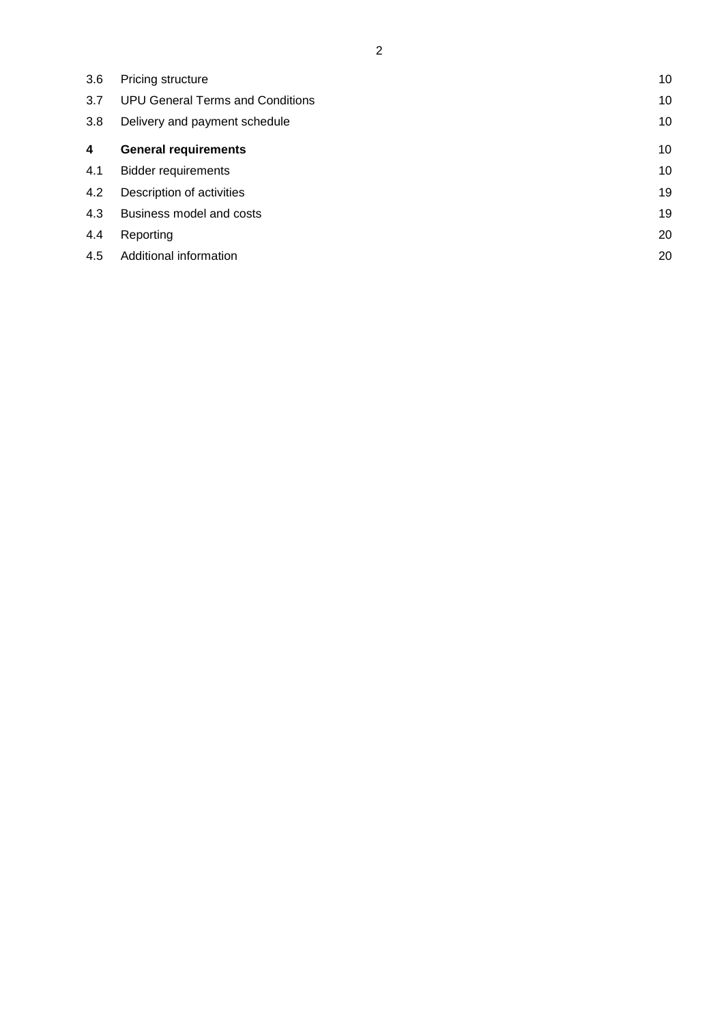| 3.6 | Pricing structure                       | 10 |
|-----|-----------------------------------------|----|
| 3.7 | <b>UPU General Terms and Conditions</b> | 10 |
| 3.8 | Delivery and payment schedule           | 10 |
| 4   | <b>General requirements</b>             | 10 |
| 4.1 | <b>Bidder requirements</b>              | 10 |
| 4.2 | Description of activities               | 19 |
| 4.3 | Business model and costs                | 19 |
| 4.4 | Reporting                               | 20 |
| 4.5 | Additional information                  | 20 |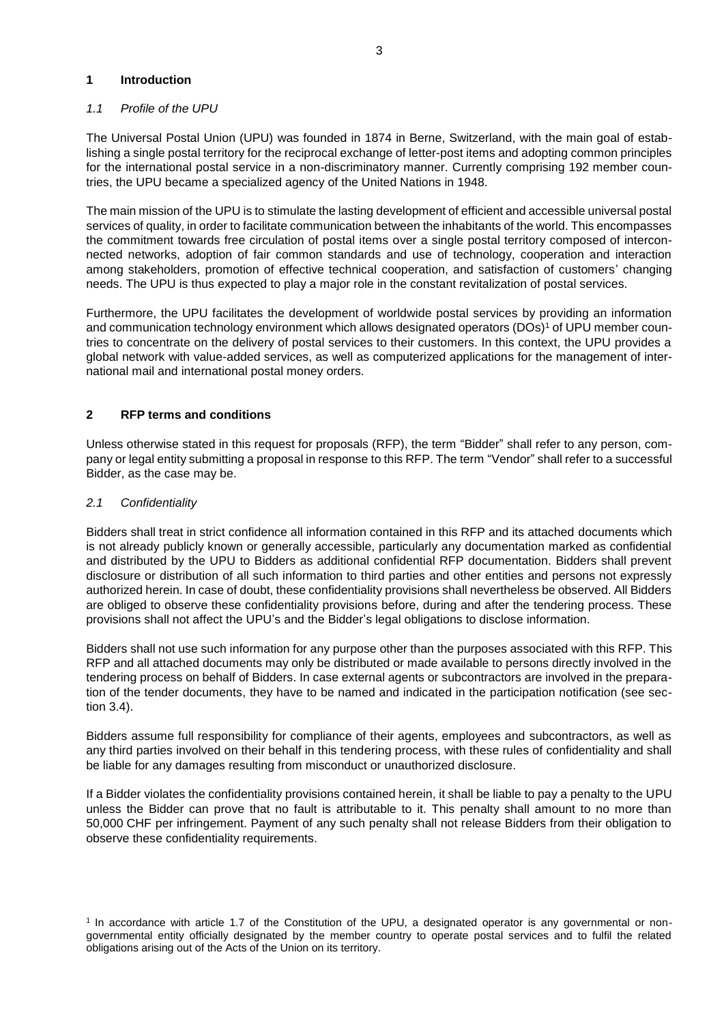### **1 Introduction**

# *1.1 Profile of the UPU*

The Universal Postal Union (UPU) was founded in 1874 in Berne, Switzerland, with the main goal of establishing a single postal territory for the reciprocal exchange of letter-post items and adopting common principles for the international postal service in a non-discriminatory manner. Currently comprising 192 member countries, the UPU became a specialized agency of the United Nations in 1948.

The main mission of the UPU is to stimulate the lasting development of efficient and accessible universal postal services of quality, in order to facilitate communication between the inhabitants of the world. This encompasses the commitment towards free circulation of postal items over a single postal territory composed of interconnected networks, adoption of fair common standards and use of technology, cooperation and interaction among stakeholders, promotion of effective technical cooperation, and satisfaction of customers' changing needs. The UPU is thus expected to play a major role in the constant revitalization of postal services.

Furthermore, the UPU facilitates the development of worldwide postal services by providing an information and communication technology environment which allows designated operators (DOs)<sup>1</sup> of UPU member countries to concentrate on the delivery of postal services to their customers. In this context, the UPU provides a global network with value-added services, as well as computerized applications for the management of international mail and international postal money orders.

# **2 RFP terms and conditions**

Unless otherwise stated in this request for proposals (RFP), the term "Bidder" shall refer to any person, company or legal entity submitting a proposal in response to this RFP. The term "Vendor" shall refer to a successful Bidder, as the case may be.

# *2.1 Confidentiality*

Bidders shall treat in strict confidence all information contained in this RFP and its attached documents which is not already publicly known or generally accessible, particularly any documentation marked as confidential and distributed by the UPU to Bidders as additional confidential RFP documentation. Bidders shall prevent disclosure or distribution of all such information to third parties and other entities and persons not expressly authorized herein. In case of doubt, these confidentiality provisions shall nevertheless be observed. All Bidders are obliged to observe these confidentiality provisions before, during and after the tendering process. These provisions shall not affect the UPU's and the Bidder's legal obligations to disclose information.

Bidders shall not use such information for any purpose other than the purposes associated with this RFP. This RFP and all attached documents may only be distributed or made available to persons directly involved in the tendering process on behalf of Bidders. In case external agents or subcontractors are involved in the preparation of the tender documents, they have to be named and indicated in the participation notification (see section 3.4).

Bidders assume full responsibility for compliance of their agents, employees and subcontractors, as well as any third parties involved on their behalf in this tendering process, with these rules of confidentiality and shall be liable for any damages resulting from misconduct or unauthorized disclosure.

If a Bidder violates the confidentiality provisions contained herein, it shall be liable to pay a penalty to the UPU unless the Bidder can prove that no fault is attributable to it. This penalty shall amount to no more than 50,000 CHF per infringement. Payment of any such penalty shall not release Bidders from their obligation to observe these confidentiality requirements.

<sup>1</sup> In accordance with article 1.7 of the Constitution of the UPU, a designated operator is any governmental or nongovernmental entity officially designated by the member country to operate postal services and to fulfil the related obligations arising out of the Acts of the Union on its territory.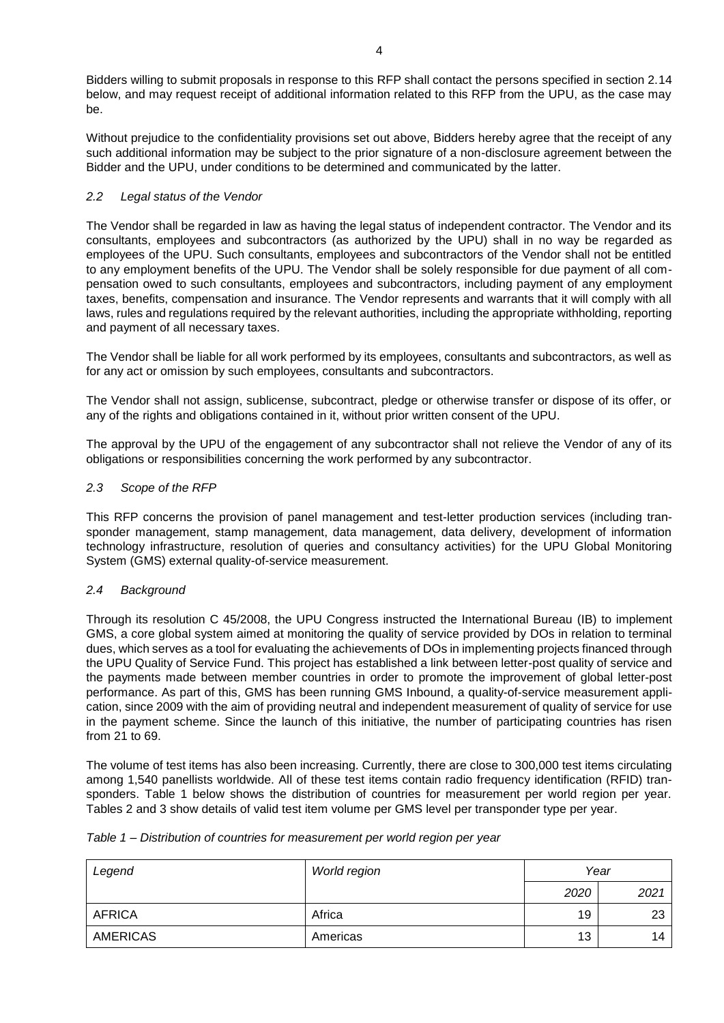Bidders willing to submit proposals in response to this RFP shall contact the persons specified in section 2.14 below, and may request receipt of additional information related to this RFP from the UPU, as the case may be.

Without prejudice to the confidentiality provisions set out above, Bidders hereby agree that the receipt of any such additional information may be subject to the prior signature of a non-disclosure agreement between the Bidder and the UPU, under conditions to be determined and communicated by the latter.

# *2.2 Legal status of the Vendor*

The Vendor shall be regarded in law as having the legal status of independent contractor. The Vendor and its consultants, employees and subcontractors (as authorized by the UPU) shall in no way be regarded as employees of the UPU. Such consultants, employees and subcontractors of the Vendor shall not be entitled to any employment benefits of the UPU. The Vendor shall be solely responsible for due payment of all compensation owed to such consultants, employees and subcontractors, including payment of any employment taxes, benefits, compensation and insurance. The Vendor represents and warrants that it will comply with all laws, rules and regulations required by the relevant authorities, including the appropriate withholding, reporting and payment of all necessary taxes.

The Vendor shall be liable for all work performed by its employees, consultants and subcontractors, as well as for any act or omission by such employees, consultants and subcontractors.

The Vendor shall not assign, sublicense, subcontract, pledge or otherwise transfer or dispose of its offer, or any of the rights and obligations contained in it, without prior written consent of the UPU.

The approval by the UPU of the engagement of any subcontractor shall not relieve the Vendor of any of its obligations or responsibilities concerning the work performed by any subcontractor.

# *2.3 Scope of the RFP*

This RFP concerns the provision of panel management and test-letter production services (including transponder management, stamp management, data management, data delivery, development of information technology infrastructure, resolution of queries and consultancy activities) for the UPU Global Monitoring System (GMS) external quality-of-service measurement.

### *2.4 Background*

Through its resolution C 45/2008, the UPU Congress instructed the International Bureau (IB) to implement GMS, a core global system aimed at monitoring the quality of service provided by DOs in relation to terminal dues, which serves as a tool for evaluating the achievements of DOs in implementing projects financed through the UPU Quality of Service Fund. This project has established a link between letter-post quality of service and the payments made between member countries in order to promote the improvement of global letter-post performance. As part of this, GMS has been running GMS Inbound, a quality-of-service measurement application, since 2009 with the aim of providing neutral and independent measurement of quality of service for use in the payment scheme. Since the launch of this initiative, the number of participating countries has risen from 21 to 69.

The volume of test items has also been increasing. Currently, there are close to 300,000 test items circulating among 1,540 panellists worldwide. All of these test items contain radio frequency identification (RFID) transponders. Table 1 below shows the distribution of countries for measurement per world region per year. Tables 2 and 3 show details of valid test item volume per GMS level per transponder type per year.

|  |  |  | Table 1 – Distribution of countries for measurement per world region per year |
|--|--|--|-------------------------------------------------------------------------------|
|--|--|--|-------------------------------------------------------------------------------|

| Legend          | World region |      | Year |
|-----------------|--------------|------|------|
|                 |              | 2020 | 2021 |
| <b>AFRICA</b>   | Africa       | 19   | 23   |
| <b>AMERICAS</b> | Americas     | 13   | 14   |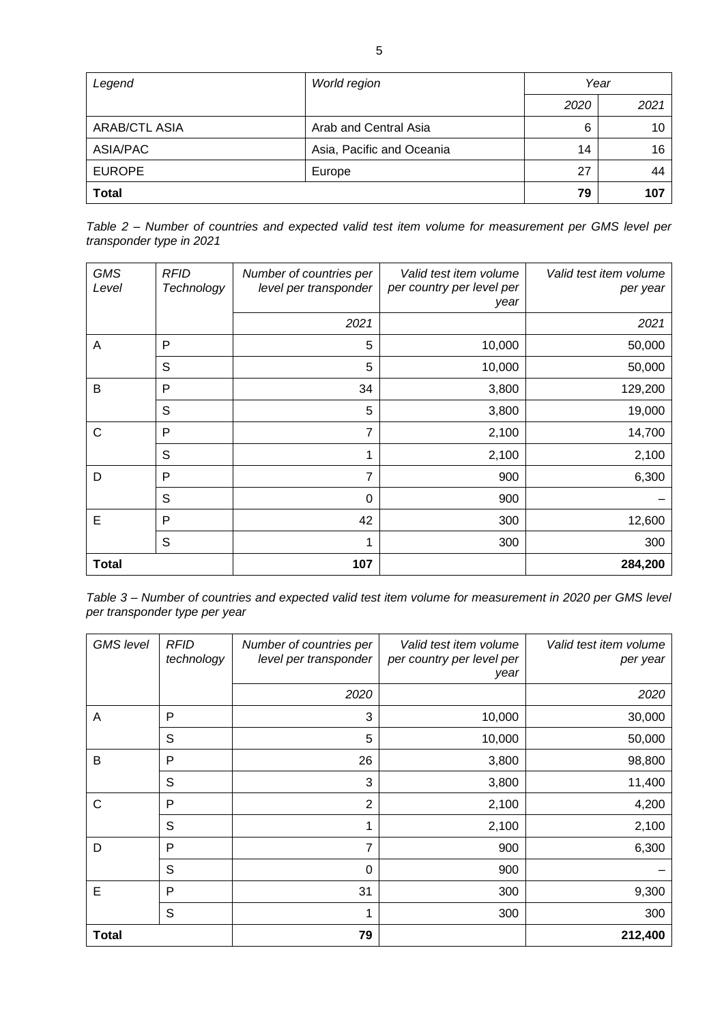| Legend               | World region              | Year |      |
|----------------------|---------------------------|------|------|
|                      |                           | 2020 | 2021 |
| <b>ARAB/CTL ASIA</b> | Arab and Central Asia     | 6    | 10   |
| ASIA/PAC             | Asia, Pacific and Oceania | 14   | 16   |
| <b>EUROPE</b>        | Europe                    | 27   | 44   |
| <b>Total</b>         |                           | 79   | 107  |

| Table 2 – Number of countries and expected valid test item volume for measurement per GMS level per |  |  |  |  |  |  |  |
|-----------------------------------------------------------------------------------------------------|--|--|--|--|--|--|--|
| transponder type in 2021                                                                            |  |  |  |  |  |  |  |

| <b>GMS</b><br>Level | <b>RFID</b><br>Technology | Number of countries per<br>level per transponder | Valid test item volume<br>per country per level per<br>year | Valid test item volume<br>per year |
|---------------------|---------------------------|--------------------------------------------------|-------------------------------------------------------------|------------------------------------|
|                     |                           | 2021                                             |                                                             | 2021                               |
| A                   | P                         | 5                                                | 10,000                                                      | 50,000                             |
|                     | S                         | 5                                                | 10,000                                                      | 50,000                             |
| B                   | P                         | 34                                               | 3,800                                                       | 129,200                            |
|                     | S                         | 5                                                | 3,800                                                       | 19,000                             |
| C                   | P                         | 7                                                | 2,100                                                       | 14,700                             |
|                     | S                         | 1                                                | 2,100                                                       | 2,100                              |
| D                   | P                         | 7                                                | 900                                                         | 6,300                              |
|                     | S                         | 0                                                | 900                                                         |                                    |
| E                   | P                         | 42                                               | 300                                                         | 12,600                             |
|                     | S                         | 1                                                | 300                                                         | 300                                |
| <b>Total</b>        |                           | 107                                              |                                                             | 284,200                            |

*Table 3 – Number of countries and expected valid test item volume for measurement in 2020 per GMS level per transponder type per year*

| <b>GMS</b> level | <b>RFID</b><br>technology | Number of countries per<br>level per transponder | Valid test item volume<br>per country per level per<br>year | Valid test item volume<br>per year |
|------------------|---------------------------|--------------------------------------------------|-------------------------------------------------------------|------------------------------------|
|                  |                           | 2020                                             |                                                             | 2020                               |
| A                | P                         | 3                                                | 10,000                                                      | 30,000                             |
|                  | S                         | 5                                                | 10,000                                                      | 50,000                             |
| B                | P                         | 26                                               | 3,800                                                       | 98,800                             |
|                  | S                         | 3                                                | 3,800                                                       | 11,400                             |
| C                | P                         | $\overline{2}$                                   | 2,100                                                       | 4,200                              |
|                  | S                         | 1                                                | 2,100                                                       | 2,100                              |
| D                | $\mathsf{P}$              | 7                                                | 900                                                         | 6,300                              |
|                  | S                         | 0                                                | 900                                                         |                                    |
| E                | P                         | 31                                               | 300                                                         | 9,300                              |
|                  | S                         | 1                                                | 300                                                         | 300                                |
| <b>Total</b>     |                           | 79                                               |                                                             | 212,400                            |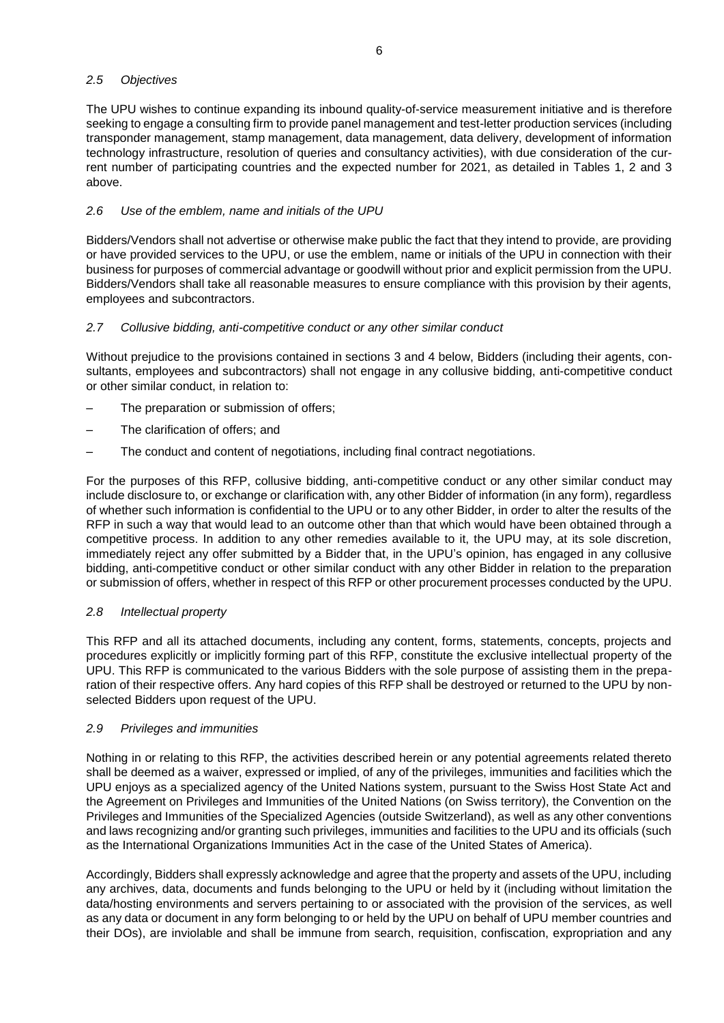### *2.5 Objectives*

The UPU wishes to continue expanding its inbound quality-of-service measurement initiative and is therefore seeking to engage a consulting firm to provide panel management and test-letter production services (including transponder management, stamp management, data management, data delivery, development of information technology infrastructure, resolution of queries and consultancy activities), with due consideration of the current number of participating countries and the expected number for 2021, as detailed in Tables 1, 2 and 3 above.

# *2.6 Use of the emblem, name and initials of the UPU*

Bidders/Vendors shall not advertise or otherwise make public the fact that they intend to provide, are providing or have provided services to the UPU, or use the emblem, name or initials of the UPU in connection with their business for purposes of commercial advantage or goodwill without prior and explicit permission from the UPU. Bidders/Vendors shall take all reasonable measures to ensure compliance with this provision by their agents, employees and subcontractors.

# *2.7 Collusive bidding, anti-competitive conduct or any other similar conduct*

Without prejudice to the provisions contained in sections 3 and 4 below, Bidders (including their agents, consultants, employees and subcontractors) shall not engage in any collusive bidding, anti-competitive conduct or other similar conduct, in relation to:

- The preparation or submission of offers;
- The clarification of offers; and
- The conduct and content of negotiations, including final contract negotiations.

For the purposes of this RFP, collusive bidding, anti-competitive conduct or any other similar conduct may include disclosure to, or exchange or clarification with, any other Bidder of information (in any form), regardless of whether such information is confidential to the UPU or to any other Bidder, in order to alter the results of the RFP in such a way that would lead to an outcome other than that which would have been obtained through a competitive process. In addition to any other remedies available to it, the UPU may, at its sole discretion, immediately reject any offer submitted by a Bidder that, in the UPU's opinion, has engaged in any collusive bidding, anti-competitive conduct or other similar conduct with any other Bidder in relation to the preparation or submission of offers, whether in respect of this RFP or other procurement processes conducted by the UPU.

# *2.8 Intellectual property*

This RFP and all its attached documents, including any content, forms, statements, concepts, projects and procedures explicitly or implicitly forming part of this RFP, constitute the exclusive intellectual property of the UPU. This RFP is communicated to the various Bidders with the sole purpose of assisting them in the preparation of their respective offers. Any hard copies of this RFP shall be destroyed or returned to the UPU by nonselected Bidders upon request of the UPU.

# *2.9 Privileges and immunities*

Nothing in or relating to this RFP, the activities described herein or any potential agreements related thereto shall be deemed as a waiver, expressed or implied, of any of the privileges, immunities and facilities which the UPU enjoys as a specialized agency of the United Nations system, pursuant to the Swiss Host State Act and the Agreement on Privileges and Immunities of the United Nations (on Swiss territory), the Convention on the Privileges and Immunities of the Specialized Agencies (outside Switzerland), as well as any other conventions and laws recognizing and/or granting such privileges, immunities and facilities to the UPU and its officials (such as the International Organizations Immunities Act in the case of the United States of America).

Accordingly, Bidders shall expressly acknowledge and agree that the property and assets of the UPU, including any archives, data, documents and funds belonging to the UPU or held by it (including without limitation the data/hosting environments and servers pertaining to or associated with the provision of the services, as well as any data or document in any form belonging to or held by the UPU on behalf of UPU member countries and their DOs), are inviolable and shall be immune from search, requisition, confiscation, expropriation and any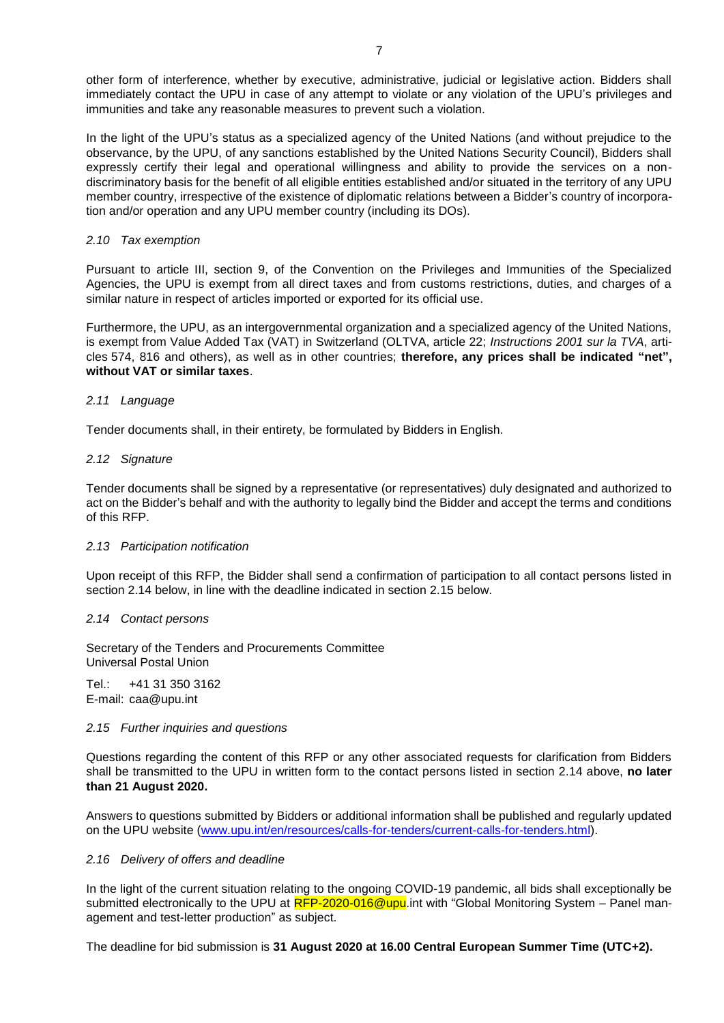other form of interference, whether by executive, administrative, judicial or legislative action. Bidders shall immediately contact the UPU in case of any attempt to violate or any violation of the UPU's privileges and immunities and take any reasonable measures to prevent such a violation.

In the light of the UPU's status as a specialized agency of the United Nations (and without prejudice to the observance, by the UPU, of any sanctions established by the United Nations Security Council), Bidders shall expressly certify their legal and operational willingness and ability to provide the services on a nondiscriminatory basis for the benefit of all eligible entities established and/or situated in the territory of any UPU member country, irrespective of the existence of diplomatic relations between a Bidder's country of incorporation and/or operation and any UPU member country (including its DOs).

#### *2.10 Tax exemption*

Pursuant to article III, section 9, of the Convention on the Privileges and Immunities of the Specialized Agencies, the UPU is exempt from all direct taxes and from customs restrictions, duties, and charges of a similar nature in respect of articles imported or exported for its official use.

Furthermore, the UPU, as an intergovernmental organization and a specialized agency of the United Nations, is exempt from Value Added Tax (VAT) in Switzerland (OLTVA, article 22; *Instructions 2001 sur la TVA*, articles 574, 816 and others), as well as in other countries; **therefore, any prices shall be indicated "net", without VAT or similar taxes**.

### *2.11 Language*

Tender documents shall, in their entirety, be formulated by Bidders in English.

#### *2.12 Signature*

Tender documents shall be signed by a representative (or representatives) duly designated and authorized to act on the Bidder's behalf and with the authority to legally bind the Bidder and accept the terms and conditions of this RFP.

#### *2.13 Participation notification*

Upon receipt of this RFP, the Bidder shall send a confirmation of participation to all contact persons listed in section 2.14 below, in line with the deadline indicated in section 2.15 below.

#### *2.14 Contact persons*

Secretary of the Tenders and Procurements Committee Universal Postal Union

Tel.: +41 31 350 3162 E-mail: caa@upu.int

#### *2.15 Further inquiries and questions*

Questions regarding the content of this RFP or any other associated requests for clarification from Bidders shall be transmitted to the UPU in written form to the contact persons listed in section 2.14 above, **no later than 21 August 2020.**

Answers to questions submitted by Bidders or additional information shall be published and regularly updated on the UPU website [\(www.upu.int/en/resources/calls-for-tenders/current-calls-for-tenders.html\)](http://www.upu.int/en/resources/calls-for-tenders/current-calls-for-tenders.html).

#### *2.16 Delivery of offers and deadline*

In the light of the current situation relating to the ongoing COVID-19 pandemic, all bids shall exceptionally be submitted electronically to the UPU at RFP-2020-016@upu.int with "Global Monitoring System – Panel management and test-letter production" as subject.

The deadline for bid submission is **31 August 2020 at 16.00 Central European Summer Time (UTC+2).**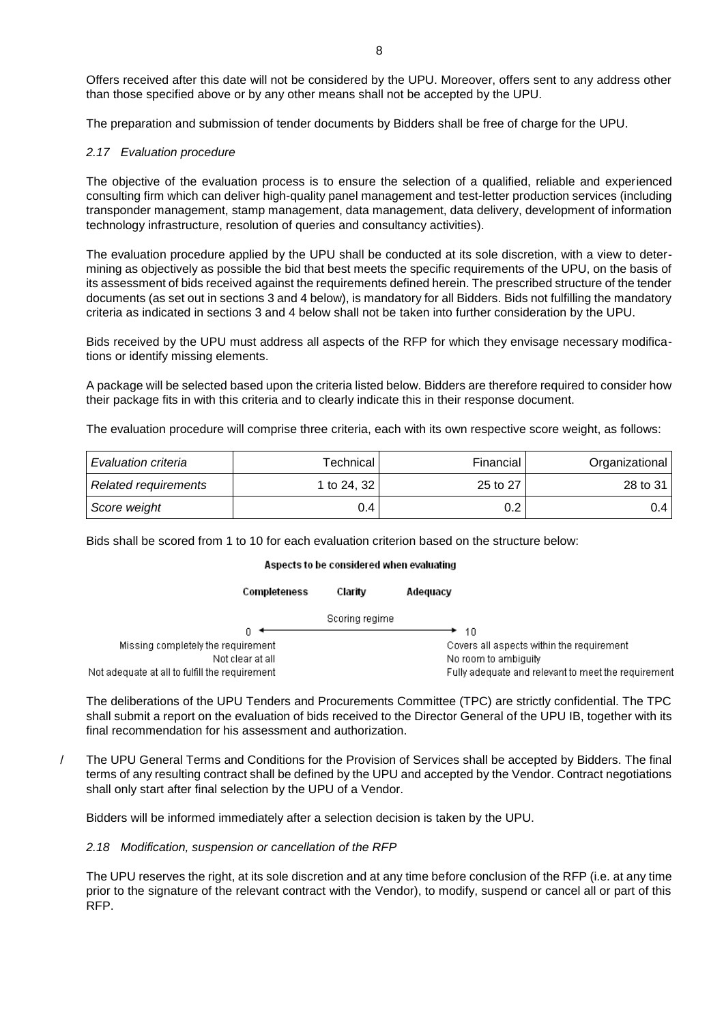Offers received after this date will not be considered by the UPU. Moreover, offers sent to any address other than those specified above or by any other means shall not be accepted by the UPU.

The preparation and submission of tender documents by Bidders shall be free of charge for the UPU.

# *2.17 Evaluation procedure*

The objective of the evaluation process is to ensure the selection of a qualified, reliable and experienced consulting firm which can deliver high-quality panel management and test-letter production services (including transponder management, stamp management, data management, data delivery, development of information technology infrastructure, resolution of queries and consultancy activities).

The evaluation procedure applied by the UPU shall be conducted at its sole discretion, with a view to determining as objectively as possible the bid that best meets the specific requirements of the UPU, on the basis of its assessment of bids received against the requirements defined herein. The prescribed structure of the tender documents (as set out in sections 3 and 4 below), is mandatory for all Bidders. Bids not fulfilling the mandatory criteria as indicated in sections 3 and 4 below shall not be taken into further consideration by the UPU.

Bids received by the UPU must address all aspects of the RFP for which they envisage necessary modifications or identify missing elements.

A package will be selected based upon the criteria listed below. Bidders are therefore required to consider how their package fits in with this criteria and to clearly indicate this in their response document.

The evaluation procedure will comprise three criteria, each with its own respective score weight, as follows:

| Evaluation criteria  | Technical     | Financial | Organizational |
|----------------------|---------------|-----------|----------------|
| Related requirements | 1 to 24, $32$ | 25 to 27  | 28 to 31       |
| Score weight         | 0.4           | 0.2       | 0.4 I          |

Bids shall be scored from 1 to 10 for each evaluation criterion based on the structure below:

### Aspects to be considered when evaluating

| Completeness                                   | Claritv        | Adequacy                                            |
|------------------------------------------------|----------------|-----------------------------------------------------|
|                                                | Scoring regime |                                                     |
|                                                |                | 10                                                  |
| Missing completely the requirement             |                | Covers all aspects within the requirement           |
| Not clear at all                               |                | No room to ambiguity                                |
| Not adequate at all to fulfill the requirement |                | Fully adequate and relevant to meet the requirement |

The deliberations of the UPU Tenders and Procurements Committee (TPC) are strictly confidential. The TPC shall submit a report on the evaluation of bids received to the Director General of the UPU IB, together with its final recommendation for his assessment and authorization.

/ The UPU General Terms and Conditions for the Provision of Services shall be accepted by Bidders. The final terms of any resulting contract shall be defined by the UPU and accepted by the Vendor. Contract negotiations shall only start after final selection by the UPU of a Vendor.

Bidders will be informed immediately after a selection decision is taken by the UPU.

### *2.18 Modification, suspension or cancellation of the RFP*

The UPU reserves the right, at its sole discretion and at any time before conclusion of the RFP (i.e. at any time prior to the signature of the relevant contract with the Vendor), to modify, suspend or cancel all or part of this RFP.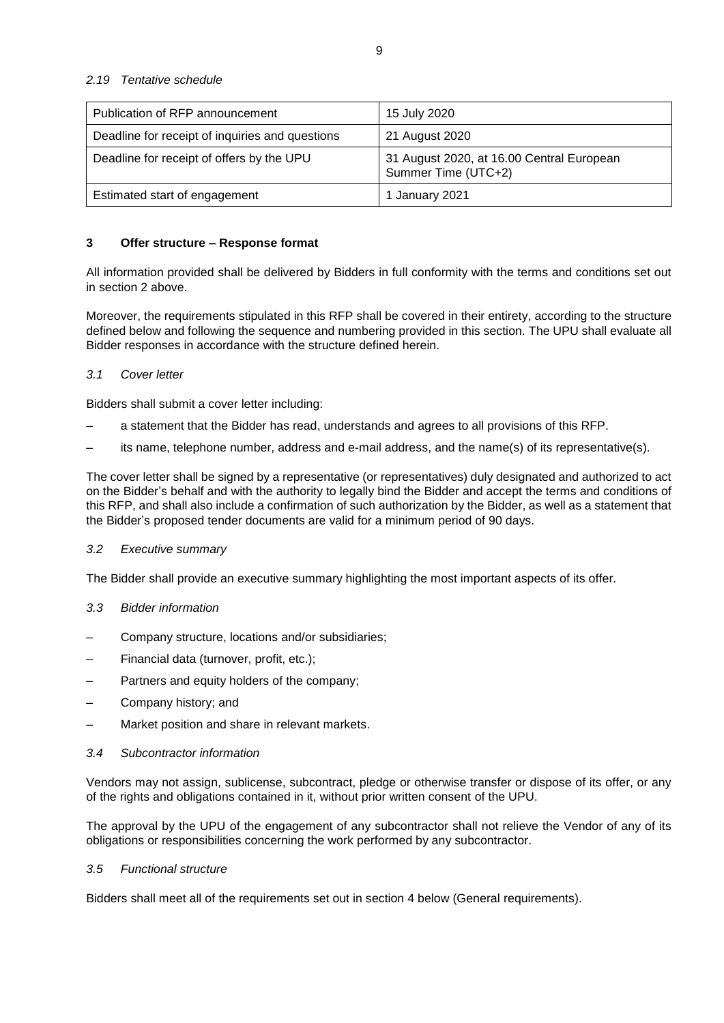| Publication of RFP announcement                 | 15 July 2020                                                     |
|-------------------------------------------------|------------------------------------------------------------------|
| Deadline for receipt of inquiries and questions | 21 August 2020                                                   |
| Deadline for receipt of offers by the UPU       | 31 August 2020, at 16.00 Central European<br>Summer Time (UTC+2) |
| Estimated start of engagement                   | 1 January 2021                                                   |

# **3 Offer structure – Response format**

All information provided shall be delivered by Bidders in full conformity with the terms and conditions set out in section 2 above.

Moreover, the requirements stipulated in this RFP shall be covered in their entirety, according to the structure defined below and following the sequence and numbering provided in this section. The UPU shall evaluate all Bidder responses in accordance with the structure defined herein.

# *3.1 Cover letter*

Bidders shall submit a cover letter including:

- a statement that the Bidder has read, understands and agrees to all provisions of this RFP.
- its name, telephone number, address and e-mail address, and the name(s) of its representative(s).

The cover letter shall be signed by a representative (or representatives) duly designated and authorized to act on the Bidder's behalf and with the authority to legally bind the Bidder and accept the terms and conditions of this RFP, and shall also include a confirmation of such authorization by the Bidder, as well as a statement that the Bidder's proposed tender documents are valid for a minimum period of 90 days.

### *3.2 Executive summary*

The Bidder shall provide an executive summary highlighting the most important aspects of its offer.

# *3.3 Bidder information*

- Company structure, locations and/or subsidiaries;
- Financial data (turnover, profit, etc.);
- Partners and equity holders of the company;
- Company history; and
- Market position and share in relevant markets.

### *3.4 Subcontractor information*

Vendors may not assign, sublicense, subcontract, pledge or otherwise transfer or dispose of its offer, or any of the rights and obligations contained in it, without prior written consent of the UPU.

The approval by the UPU of the engagement of any subcontractor shall not relieve the Vendor of any of its obligations or responsibilities concerning the work performed by any subcontractor.

### *3.5 Functional structure*

Bidders shall meet all of the requirements set out in section 4 below (General requirements).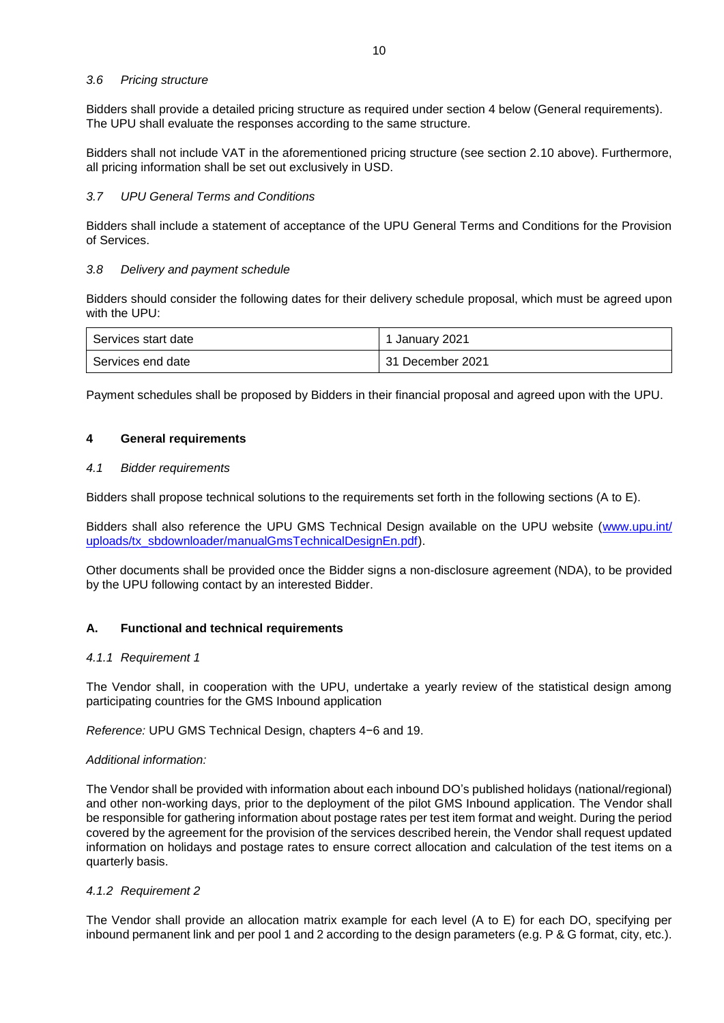# *3.6 Pricing structure*

Bidders shall provide a detailed pricing structure as required under section 4 below (General requirements). The UPU shall evaluate the responses according to the same structure.

Bidders shall not include VAT in the aforementioned pricing structure (see section 2.10 above). Furthermore, all pricing information shall be set out exclusively in USD.

### *3.7 UPU General Terms and Conditions*

Bidders shall include a statement of acceptance of the UPU General Terms and Conditions for the Provision of Services.

# *3.8 Delivery and payment schedule*

Bidders should consider the following dates for their delivery schedule proposal, which must be agreed upon with the UPU:

| l Services start date | 1 January 2021   |
|-----------------------|------------------|
| l Services end date   | 31 December 2021 |

Payment schedules shall be proposed by Bidders in their financial proposal and agreed upon with the UPU.

# **4 General requirements**

### *4.1 Bidder requirements*

Bidders shall propose technical solutions to the requirements set forth in the following sections (A to E).

Bidders shall also reference the UPU GMS Technical Design available on the UPU website [\(www.upu.int/](http://www.upu.int/uploads/tx_sbdownloader/manualGmsTechnicalDesignEn.pdf) [uploads/tx\\_sbdownloader/manualGmsTechnicalDesignEn.pdf\)](http://www.upu.int/uploads/tx_sbdownloader/manualGmsTechnicalDesignEn.pdf).

Other documents shall be provided once the Bidder signs a non-disclosure agreement (NDA), to be provided by the UPU following contact by an interested Bidder.

### **A. Functional and technical requirements**

### *4.1.1 Requirement 1*

The Vendor shall, in cooperation with the UPU, undertake a yearly review of the statistical design among participating countries for the GMS Inbound application

*Reference:* UPU GMS Technical Design, chapters 4−6 and 19.

### *Additional information:*

The Vendor shall be provided with information about each inbound DO's published holidays (national/regional) and other non-working days, prior to the deployment of the pilot GMS Inbound application. The Vendor shall be responsible for gathering information about postage rates per test item format and weight. During the period covered by the agreement for the provision of the services described herein, the Vendor shall request updated information on holidays and postage rates to ensure correct allocation and calculation of the test items on a quarterly basis.

### *4.1.2 Requirement 2*

The Vendor shall provide an allocation matrix example for each level (A to E) for each DO, specifying per inbound permanent link and per pool 1 and 2 according to the design parameters (e.g. P & G format, city, etc.).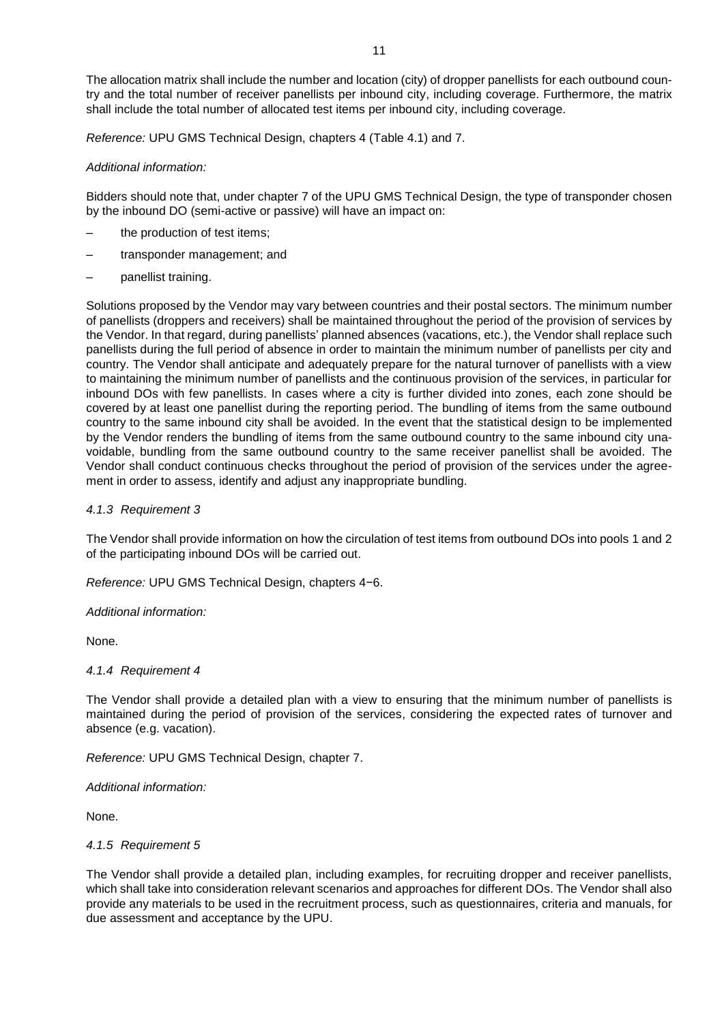*Reference:* UPU GMS Technical Design, chapters 4 (Table 4.1) and 7.

# *Additional information:*

Bidders should note that, under chapter 7 of the UPU GMS Technical Design, the type of transponder chosen by the inbound DO (semi-active or passive) will have an impact on:

- the production of test items;
- transponder management; and
- panellist training.

Solutions proposed by the Vendor may vary between countries and their postal sectors. The minimum number of panellists (droppers and receivers) shall be maintained throughout the period of the provision of services by the Vendor. In that regard, during panellists' planned absences (vacations, etc.), the Vendor shall replace such panellists during the full period of absence in order to maintain the minimum number of panellists per city and country. The Vendor shall anticipate and adequately prepare for the natural turnover of panellists with a view to maintaining the minimum number of panellists and the continuous provision of the services, in particular for inbound DOs with few panellists. In cases where a city is further divided into zones, each zone should be covered by at least one panellist during the reporting period. The bundling of items from the same outbound country to the same inbound city shall be avoided. In the event that the statistical design to be implemented by the Vendor renders the bundling of items from the same outbound country to the same inbound city unavoidable, bundling from the same outbound country to the same receiver panellist shall be avoided. The Vendor shall conduct continuous checks throughout the period of provision of the services under the agreement in order to assess, identify and adjust any inappropriate bundling.

# *4.1.3 Requirement 3*

The Vendor shall provide information on how the circulation of test items from outbound DOs into pools 1 and 2 of the participating inbound DOs will be carried out.

*Reference:* UPU GMS Technical Design, chapters 4−6.

### *Additional information:*

None.

### *4.1.4 Requirement 4*

The Vendor shall provide a detailed plan with a view to ensuring that the minimum number of panellists is maintained during the period of provision of the services, considering the expected rates of turnover and absence (e.g. vacation).

*Reference:* UPU GMS Technical Design, chapter 7.

*Additional information:*

None.

### *4.1.5 Requirement 5*

The Vendor shall provide a detailed plan, including examples, for recruiting dropper and receiver panellists, which shall take into consideration relevant scenarios and approaches for different DOs. The Vendor shall also provide any materials to be used in the recruitment process, such as questionnaires, criteria and manuals, for due assessment and acceptance by the UPU.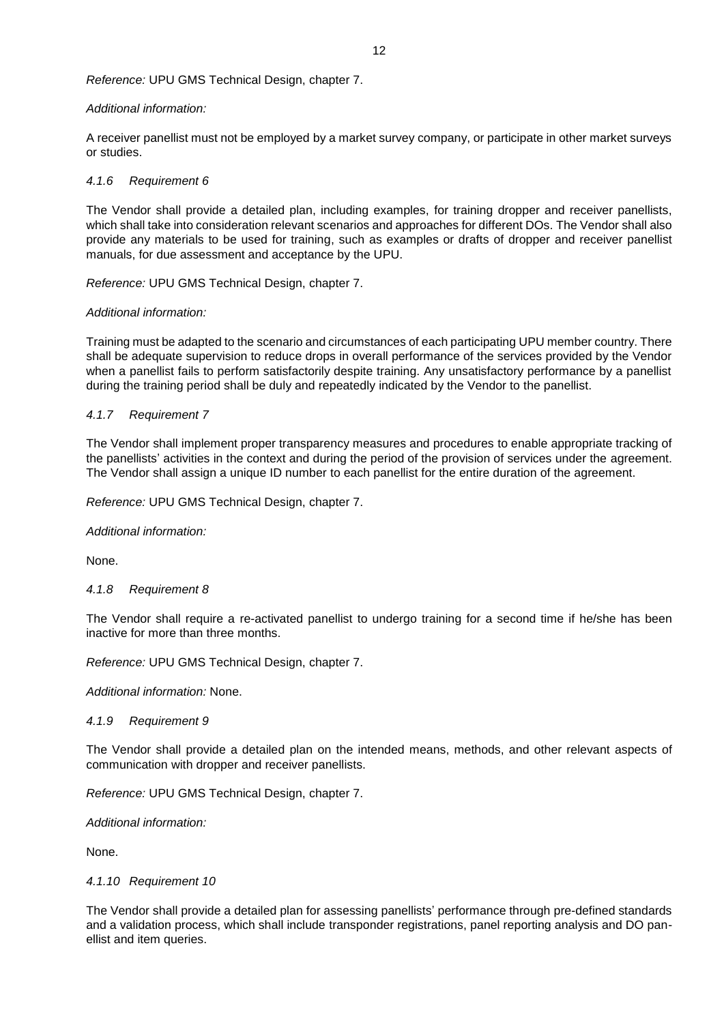*Reference:* UPU GMS Technical Design, chapter 7.

# *Additional information:*

A receiver panellist must not be employed by a market survey company, or participate in other market surveys or studies.

# *4.1.6 Requirement 6*

The Vendor shall provide a detailed plan, including examples, for training dropper and receiver panellists, which shall take into consideration relevant scenarios and approaches for different DOs. The Vendor shall also provide any materials to be used for training, such as examples or drafts of dropper and receiver panellist manuals, for due assessment and acceptance by the UPU.

*Reference:* UPU GMS Technical Design, chapter 7.

# *Additional information:*

Training must be adapted to the scenario and circumstances of each participating UPU member country. There shall be adequate supervision to reduce drops in overall performance of the services provided by the Vendor when a panellist fails to perform satisfactorily despite training. Any unsatisfactory performance by a panellist during the training period shall be duly and repeatedly indicated by the Vendor to the panellist.

# *4.1.7 Requirement 7*

The Vendor shall implement proper transparency measures and procedures to enable appropriate tracking of the panellists' activities in the context and during the period of the provision of services under the agreement. The Vendor shall assign a unique ID number to each panellist for the entire duration of the agreement.

*Reference:* UPU GMS Technical Design, chapter 7.

*Additional information:*

None.

### *4.1.8 Requirement 8*

The Vendor shall require a re-activated panellist to undergo training for a second time if he/she has been inactive for more than three months.

*Reference:* UPU GMS Technical Design, chapter 7.

*Additional information:* None.

### *4.1.9 Requirement 9*

The Vendor shall provide a detailed plan on the intended means, methods, and other relevant aspects of communication with dropper and receiver panellists.

*Reference:* UPU GMS Technical Design, chapter 7.

*Additional information:* 

None.

# *4.1.10 Requirement 10*

The Vendor shall provide a detailed plan for assessing panellists' performance through pre-defined standards and a validation process, which shall include transponder registrations, panel reporting analysis and DO panellist and item queries.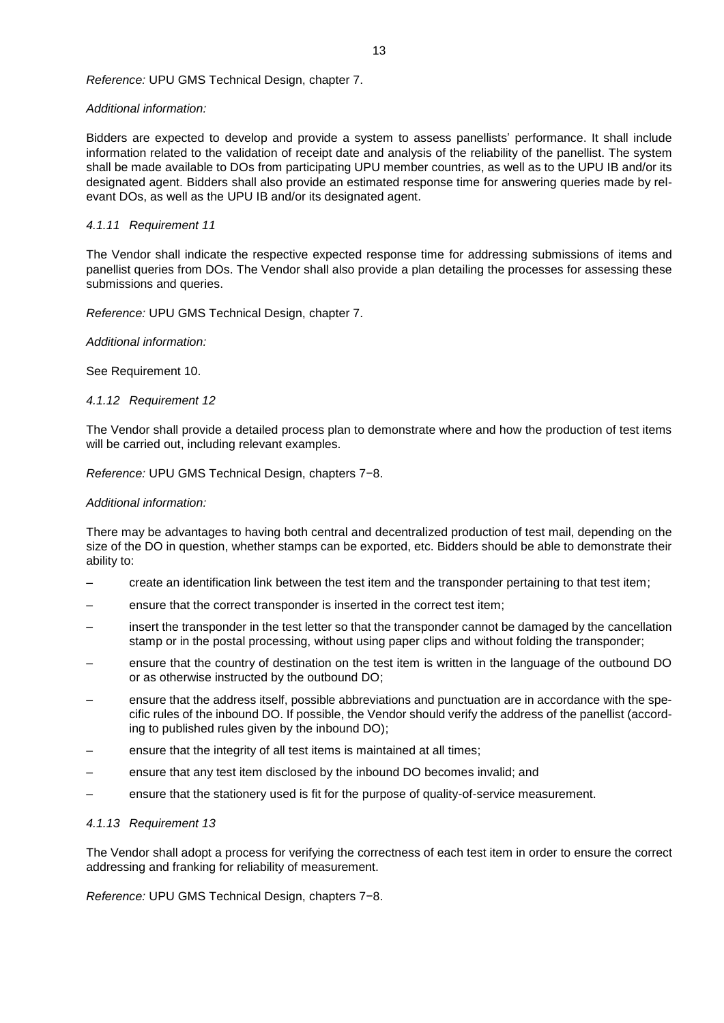### *Reference:* UPU GMS Technical Design, chapter 7.

# *Additional information:*

Bidders are expected to develop and provide a system to assess panellists' performance. It shall include information related to the validation of receipt date and analysis of the reliability of the panellist. The system shall be made available to DOs from participating UPU member countries, as well as to the UPU IB and/or its designated agent. Bidders shall also provide an estimated response time for answering queries made by relevant DOs, as well as the UPU IB and/or its designated agent.

# *4.1.11 Requirement 11*

The Vendor shall indicate the respective expected response time for addressing submissions of items and panellist queries from DOs. The Vendor shall also provide a plan detailing the processes for assessing these submissions and queries.

*Reference:* UPU GMS Technical Design, chapter 7.

*Additional information:*

See Requirement 10.

# *4.1.12 Requirement 12*

The Vendor shall provide a detailed process plan to demonstrate where and how the production of test items will be carried out, including relevant examples.

*Reference:* UPU GMS Technical Design, chapters 7−8.

# *Additional information:*

There may be advantages to having both central and decentralized production of test mail, depending on the size of the DO in question, whether stamps can be exported, etc. Bidders should be able to demonstrate their ability to:

- create an identification link between the test item and the transponder pertaining to that test item;
- ensure that the correct transponder is inserted in the correct test item;
- insert the transponder in the test letter so that the transponder cannot be damaged by the cancellation stamp or in the postal processing, without using paper clips and without folding the transponder;
- ensure that the country of destination on the test item is written in the language of the outbound DO or as otherwise instructed by the outbound DO;
- ensure that the address itself, possible abbreviations and punctuation are in accordance with the specific rules of the inbound DO. If possible, the Vendor should verify the address of the panellist (according to published rules given by the inbound DO);
- ensure that the integrity of all test items is maintained at all times;
- ensure that any test item disclosed by the inbound DO becomes invalid; and
- ensure that the stationery used is fit for the purpose of quality-of-service measurement.

### *4.1.13 Requirement 13*

The Vendor shall adopt a process for verifying the correctness of each test item in order to ensure the correct addressing and franking for reliability of measurement.

*Reference:* UPU GMS Technical Design, chapters 7−8.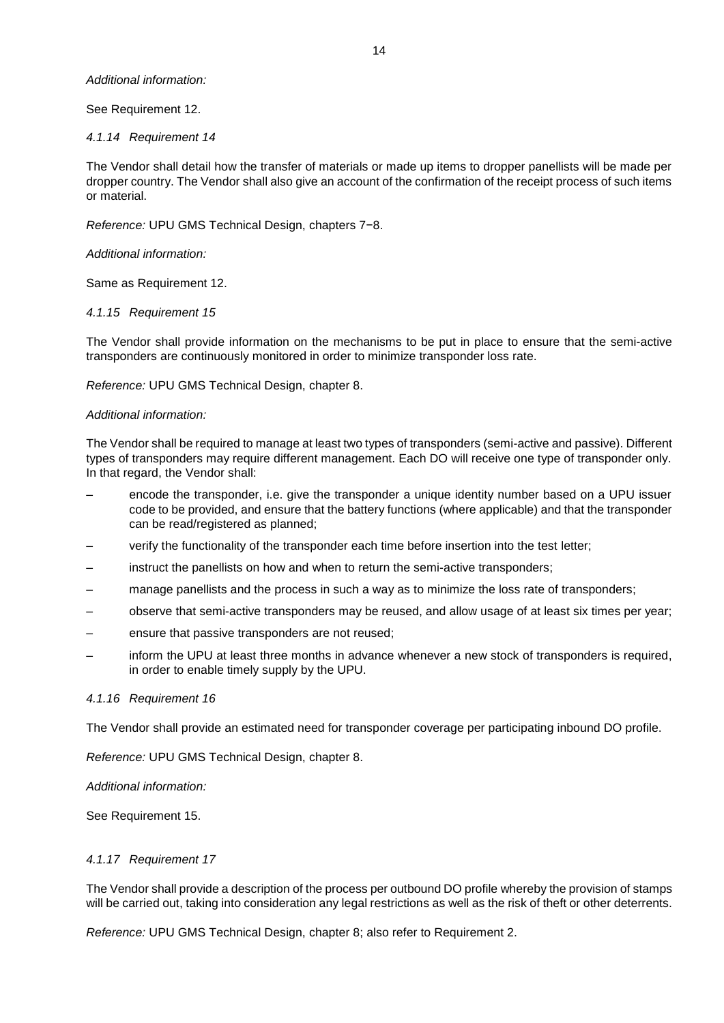### *Additional information:*

# See Requirement 12.

# *4.1.14 Requirement 14*

The Vendor shall detail how the transfer of materials or made up items to dropper panellists will be made per dropper country. The Vendor shall also give an account of the confirmation of the receipt process of such items or material.

*Reference:* UPU GMS Technical Design, chapters 7−8.

### *Additional information:*

Same as Requirement 12.

# *4.1.15 Requirement 15*

The Vendor shall provide information on the mechanisms to be put in place to ensure that the semi-active transponders are continuously monitored in order to minimize transponder loss rate.

*Reference:* UPU GMS Technical Design, chapter 8.

### *Additional information:*

The Vendor shall be required to manage at least two types of transponders (semi-active and passive). Different types of transponders may require different management. Each DO will receive one type of transponder only. In that regard, the Vendor shall:

- encode the transponder, i.e. give the transponder a unique identity number based on a UPU issuer code to be provided, and ensure that the battery functions (where applicable) and that the transponder can be read/registered as planned;
- verify the functionality of the transponder each time before insertion into the test letter;
- instruct the panellists on how and when to return the semi-active transponders;
- manage panellists and the process in such a way as to minimize the loss rate of transponders;
- observe that semi-active transponders may be reused, and allow usage of at least six times per year;
- ensure that passive transponders are not reused;
- inform the UPU at least three months in advance whenever a new stock of transponders is required, in order to enable timely supply by the UPU.

### *4.1.16 Requirement 16*

The Vendor shall provide an estimated need for transponder coverage per participating inbound DO profile.

*Reference:* UPU GMS Technical Design, chapter 8.

### *Additional information:*

See Requirement 15.

### *4.1.17 Requirement 17*

The Vendor shall provide a description of the process per outbound DO profile whereby the provision of stamps will be carried out, taking into consideration any legal restrictions as well as the risk of theft or other deterrents.

*Reference:* UPU GMS Technical Design, chapter 8; also refer to Requirement 2.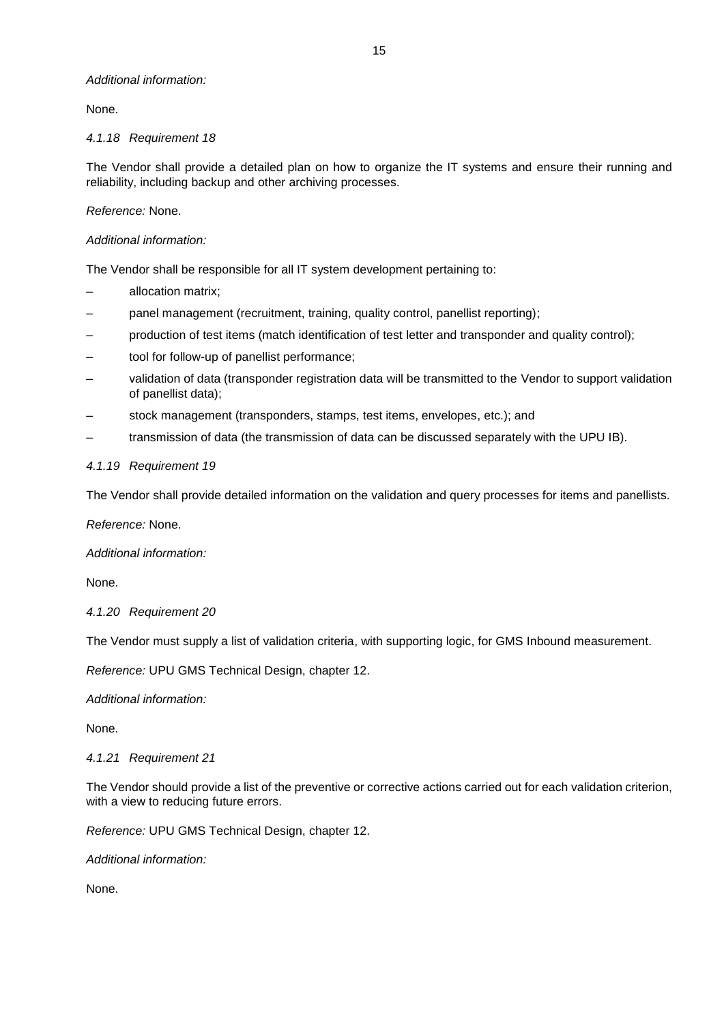# *Additional information:*

None.

# *4.1.18 Requirement 18*

The Vendor shall provide a detailed plan on how to organize the IT systems and ensure their running and reliability, including backup and other archiving processes.

# *Reference:* None.

# *Additional information:*

The Vendor shall be responsible for all IT system development pertaining to:

- allocation matrix;
- panel management (recruitment, training, quality control, panellist reporting);
- production of test items (match identification of test letter and transponder and quality control);
- tool for follow-up of panellist performance;
- validation of data (transponder registration data will be transmitted to the Vendor to support validation of panellist data);
- stock management (transponders, stamps, test items, envelopes, etc.); and
- transmission of data (the transmission of data can be discussed separately with the UPU IB).

# *4.1.19 Requirement 19*

The Vendor shall provide detailed information on the validation and query processes for items and panellists.

*Reference:* None.

*Additional information:*

None.

### *4.1.20 Requirement 20*

The Vendor must supply a list of validation criteria, with supporting logic, for GMS Inbound measurement.

*Reference:* UPU GMS Technical Design, chapter 12.

*Additional information:*

None.

### *4.1.21 Requirement 21*

The Vendor should provide a list of the preventive or corrective actions carried out for each validation criterion, with a view to reducing future errors.

*Reference:* UPU GMS Technical Design, chapter 12.

*Additional information:*

None.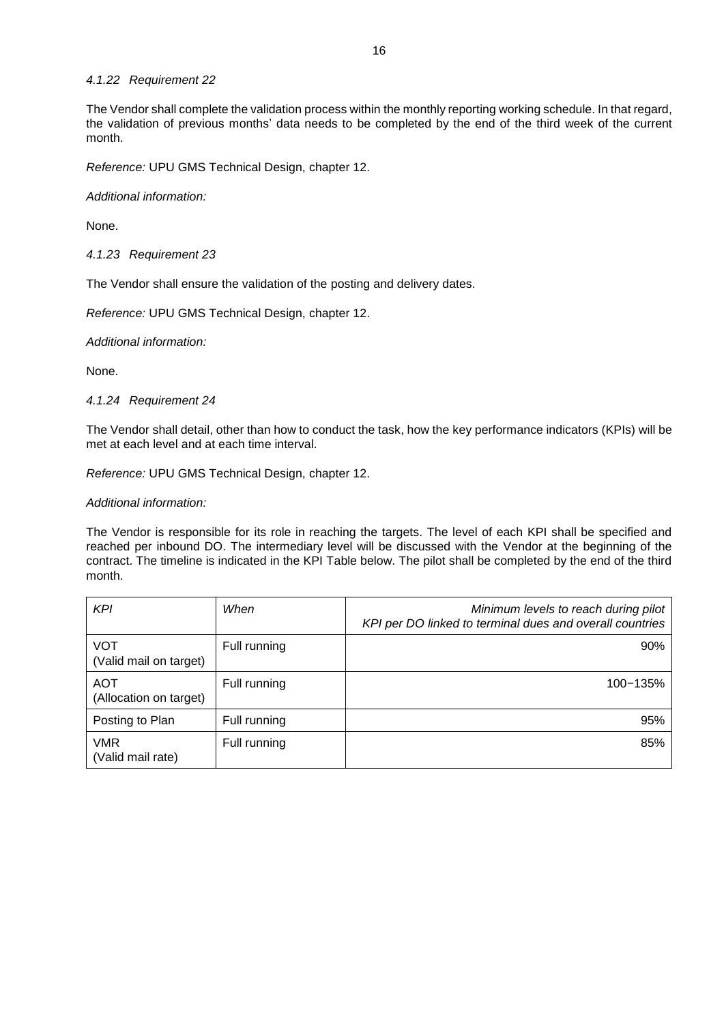### *4.1.22 Requirement 22*

The Vendor shall complete the validation process within the monthly reporting working schedule. In that regard, the validation of previous months' data needs to be completed by the end of the third week of the current month.

*Reference:* UPU GMS Technical Design, chapter 12.

*Additional information:*

None.

*4.1.23 Requirement 23*

The Vendor shall ensure the validation of the posting and delivery dates.

*Reference:* UPU GMS Technical Design, chapter 12.

*Additional information:*

None.

*4.1.24 Requirement 24*

The Vendor shall detail, other than how to conduct the task, how the key performance indicators (KPIs) will be met at each level and at each time interval.

*Reference:* UPU GMS Technical Design, chapter 12.

*Additional information:*

The Vendor is responsible for its role in reaching the targets. The level of each KPI shall be specified and reached per inbound DO. The intermediary level will be discussed with the Vendor at the beginning of the contract. The timeline is indicated in the KPI Table below. The pilot shall be completed by the end of the third month.

| <b>KPI</b>                           | When         | Minimum levels to reach during pilot<br>KPI per DO linked to terminal dues and overall countries |
|--------------------------------------|--------------|--------------------------------------------------------------------------------------------------|
| <b>VOT</b><br>(Valid mail on target) | Full running | 90%                                                                                              |
| AOT<br>(Allocation on target)        | Full running | $100 - 135%$                                                                                     |
| Posting to Plan                      | Full running | 95%                                                                                              |
| VMR<br>(Valid mail rate)             | Full running | 85%                                                                                              |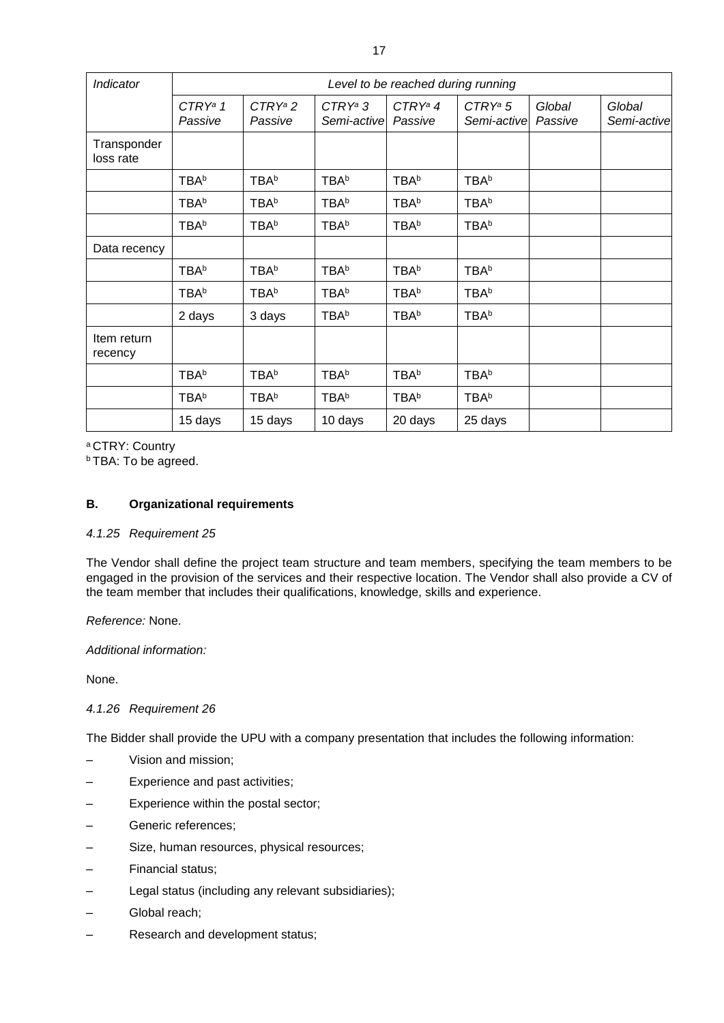| Indicator                | Level to be reached during running |                       |                           |                       |                           |                   |                       |  |
|--------------------------|------------------------------------|-----------------------|---------------------------|-----------------------|---------------------------|-------------------|-----------------------|--|
|                          | $CTRY^a 1$<br>Passive              | $CTRY^a 2$<br>Passive | $CTRY^a 3$<br>Semi-active | $CTRY^a 4$<br>Passive | $CTRY^a 5$<br>Semi-active | Global<br>Passive | Global<br>Semi-active |  |
| Transponder<br>loss rate |                                    |                       |                           |                       |                           |                   |                       |  |
|                          | <b>TBAb</b>                        | <b>TBAb</b>           | <b>TBAb</b>               | <b>TBAb</b>           | <b>TBAb</b>               |                   |                       |  |
|                          | <b>TBAb</b>                        | <b>TBAb</b>           | <b>TBAb</b>               | <b>TBAb</b>           | <b>TBAb</b>               |                   |                       |  |
|                          | <b>TBAb</b>                        | <b>TBAb</b>           | <b>TBAb</b>               | <b>TBAb</b>           | <b>TBAb</b>               |                   |                       |  |
| Data recency             |                                    |                       |                           |                       |                           |                   |                       |  |
|                          | <b>TBAb</b>                        | <b>TBAb</b>           | <b>TBAb</b>               | <b>TBAb</b>           | <b>TBAb</b>               |                   |                       |  |
|                          | <b>TBAb</b>                        | <b>TBAb</b>           | <b>TBAb</b>               | <b>TBAb</b>           | <b>TBAb</b>               |                   |                       |  |
|                          | 2 days                             | 3 days                | <b>TBAb</b>               | <b>TBAb</b>           | <b>TBAb</b>               |                   |                       |  |
| Item return<br>recency   |                                    |                       |                           |                       |                           |                   |                       |  |
|                          | <b>TBAb</b>                        | <b>TBAb</b>           | <b>TBAb</b>               | <b>TBAb</b>           | <b>TBAb</b>               |                   |                       |  |
|                          | <b>TBAb</b>                        | <b>TBAb</b>           | <b>TBAb</b>               | <b>TBAb</b>           | <b>TBAb</b>               |                   |                       |  |
|                          | 15 days                            | 15 days               | 10 days                   | 20 days               | 25 days                   |                   |                       |  |

<sup>a</sup> CTRY: Country

**b** TBA: To be agreed.

# **B. Organizational requirements**

### *4.1.25 Requirement 25*

The Vendor shall define the project team structure and team members, specifying the team members to be engaged in the provision of the services and their respective location. The Vendor shall also provide a CV of the team member that includes their qualifications, knowledge, skills and experience.

### *Reference:* None.

*Additional information:*

None.

# *4.1.26 Requirement 26*

The Bidder shall provide the UPU with a company presentation that includes the following information:

- Vision and mission;
- Experience and past activities;
- Experience within the postal sector;
- Generic references;
- Size, human resources, physical resources;
- Financial status;
- Legal status (including any relevant subsidiaries);
- Global reach;
- Research and development status;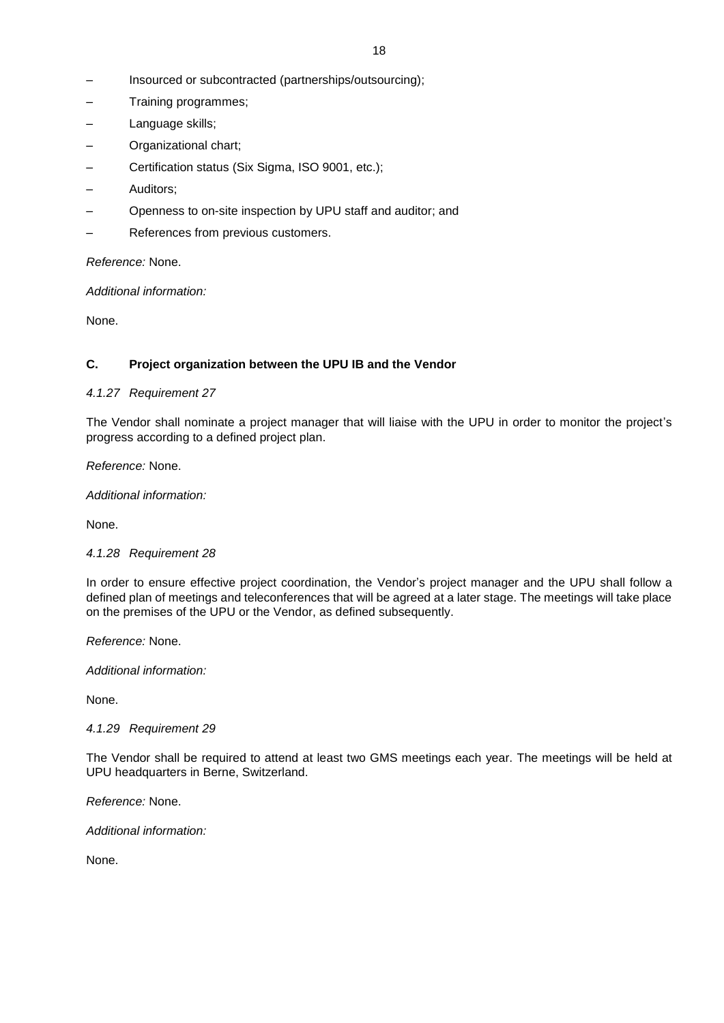- Insourced or subcontracted (partnerships/outsourcing);
- Training programmes;
- Language skills;
- Organizational chart;
- Certification status (Six Sigma, ISO 9001, etc.);
- Auditors;
- Openness to on-site inspection by UPU staff and auditor; and
- References from previous customers.

*Reference:* None.

*Additional information:*

None.

# **C. Project organization between the UPU IB and the Vendor**

# *4.1.27 Requirement 27*

The Vendor shall nominate a project manager that will liaise with the UPU in order to monitor the project's progress according to a defined project plan.

*Reference:* None.

*Additional information:*

None.

### *4.1.28 Requirement 28*

In order to ensure effective project coordination, the Vendor's project manager and the UPU shall follow a defined plan of meetings and teleconferences that will be agreed at a later stage. The meetings will take place on the premises of the UPU or the Vendor, as defined subsequently.

*Reference:* None.

*Additional information:*

None.

### *4.1.29 Requirement 29*

The Vendor shall be required to attend at least two GMS meetings each year. The meetings will be held at UPU headquarters in Berne, Switzerland.

*Reference:* None.

*Additional information:*

None.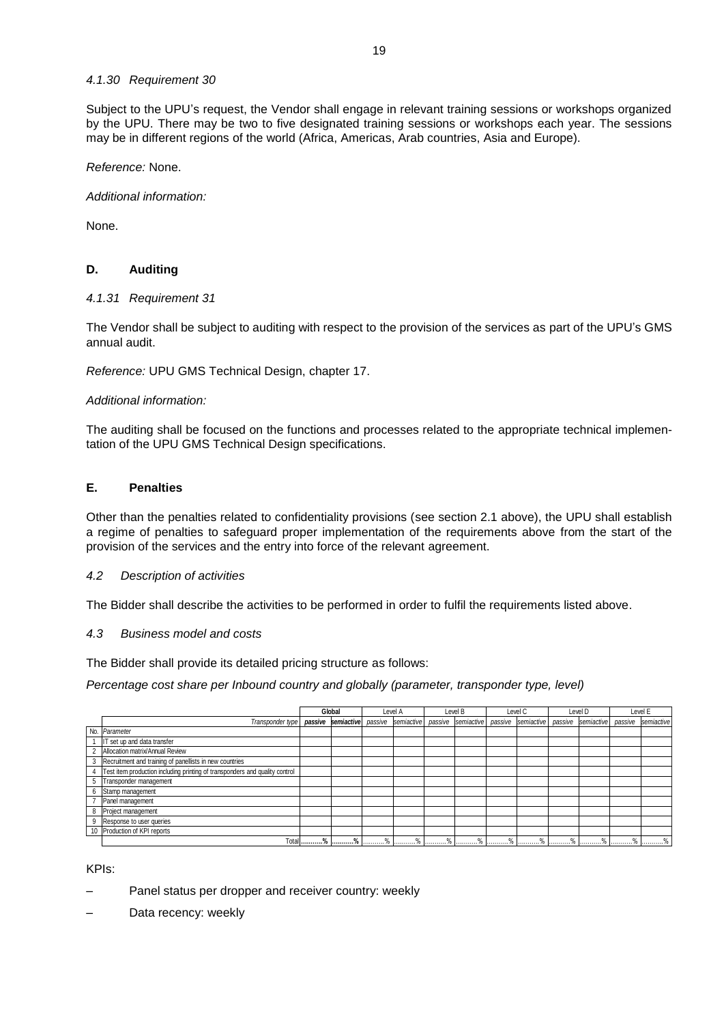### *4.1.30 Requirement 30*

Subject to the UPU's request, the Vendor shall engage in relevant training sessions or workshops organized by the UPU. There may be two to five designated training sessions or workshops each year. The sessions may be in different regions of the world (Africa, Americas, Arab countries, Asia and Europe).

*Reference:* None.

*Additional information:*

None.

# **D. Auditing**

### *4.1.31 Requirement 31*

The Vendor shall be subject to auditing with respect to the provision of the services as part of the UPU's GMS annual audit.

*Reference:* UPU GMS Technical Design, chapter 17.

# *Additional information:*

The auditing shall be focused on the functions and processes related to the appropriate technical implementation of the UPU GMS Technical Design specifications.

# **E. Penalties**

Other than the penalties related to confidentiality provisions (see section 2.1 above), the UPU shall establish a regime of penalties to safeguard proper implementation of the requirements above from the start of the provision of the services and the entry into force of the relevant agreement.

### *4.2 Description of activities*

The Bidder shall describe the activities to be performed in order to fulfil the requirements listed above.

### *4.3 Business model and costs*

The Bidder shall provide its detailed pricing structure as follows:

*Percentage cost share per Inbound country and globally (parameter, transponder type, level)*

|             |                                                                             | Global |            | Level A |     | Level B       |                                               | Level C    |                    | Level D         |                    | Level E         |                 |
|-------------|-----------------------------------------------------------------------------|--------|------------|---------|-----|---------------|-----------------------------------------------|------------|--------------------|-----------------|--------------------|-----------------|-----------------|
|             | Transponder type   passive semiactive                                       |        |            |         |     |               | passive semiactive passive semiactive passive |            | semiactive passive |                 | semiactive passive |                 | semiactive      |
|             | No. Parameter                                                               |        |            |         |     |               |                                               |            |                    |                 |                    |                 |                 |
|             | IT set up and data transfer                                                 |        |            |         |     |               |                                               |            |                    |                 |                    |                 |                 |
|             | 2 Allocation matrix/Annual Review                                           |        |            |         |     |               |                                               |            |                    |                 |                    |                 |                 |
|             | 3 Recruitment and training of panellists in new countries                   |        |            |         |     |               |                                               |            |                    |                 |                    |                 |                 |
|             | Test item production including printing of transponders and quality control |        |            |         |     |               |                                               |            |                    |                 |                    |                 |                 |
| $5^{\circ}$ | Transponder management                                                      |        |            |         |     |               |                                               |            |                    |                 |                    |                 |                 |
|             | 6 Stamp management                                                          |        |            |         |     |               |                                               |            |                    |                 |                    |                 |                 |
|             | Panel management                                                            |        |            |         |     |               |                                               |            |                    |                 |                    |                 |                 |
|             | 8 Project management                                                        |        |            |         |     |               |                                               |            |                    |                 |                    |                 |                 |
|             | 9 Response to user queries                                                  |        |            |         |     |               |                                               |            |                    |                 |                    |                 |                 |
|             | 10 Production of KPI reports                                                |        |            |         |     |               |                                               |            |                    |                 |                    |                 |                 |
|             |                                                                             |        | Total %  % | $ $ %   | . % | $\frac{1}{2}$ | $ $ %                                         | 1.1.1.1.1% | $\frac{1}{2}$ %    | $\frac{1}{2}$ % | $\frac{1}{2}$ %    | $\frac{1}{2}$ % | $\frac{1}{2}$ % |

KPIs:

- Panel status per dropper and receiver country: weekly
- Data recency: weekly